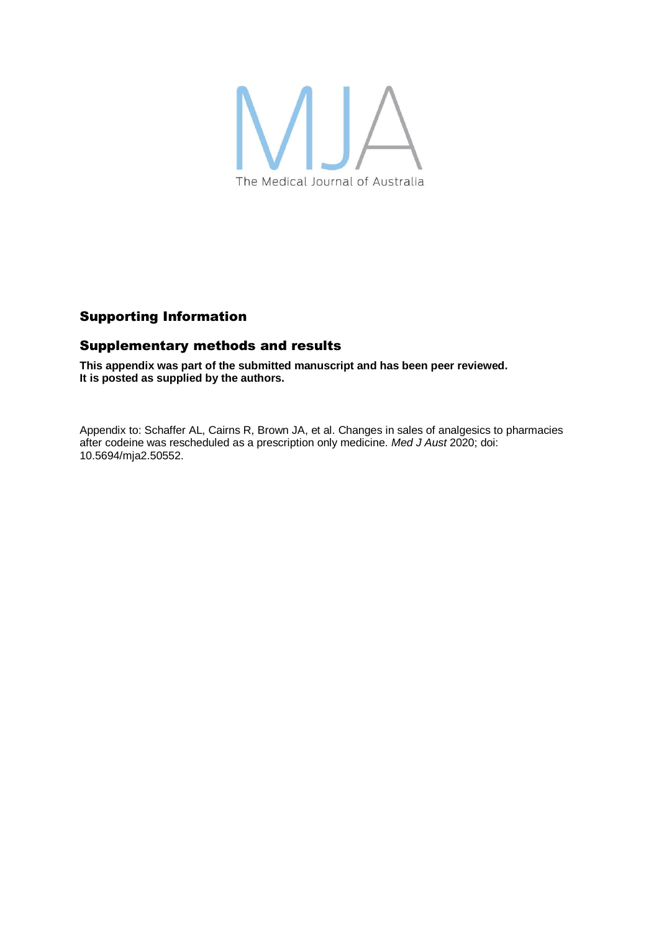

# Supporting Information

## Supplementary methods and results

**This appendix was part of the submitted manuscript and has been peer reviewed. It is posted as supplied by the authors.**

Appendix to: Schaffer AL, Cairns R, Brown JA, et al. Changes in sales of analgesics to pharmacies after codeine was rescheduled as a prescription only medicine. *Med J Aust* 2020; doi: 10.5694/mja2.50552.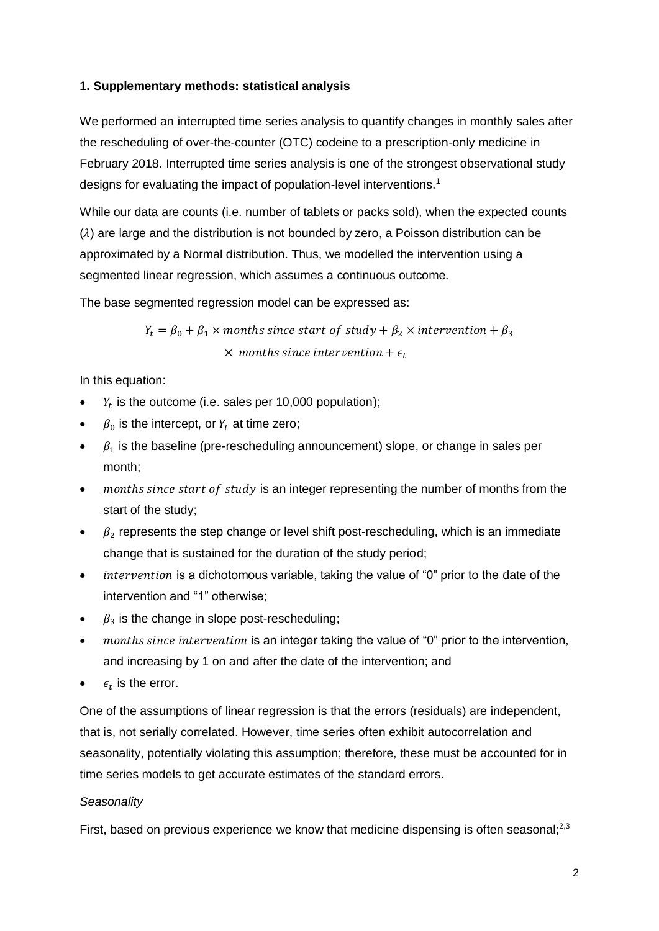### **1. Supplementary methods: statistical analysis**

We performed an interrupted time series analysis to quantify changes in monthly sales after the rescheduling of over-the-counter (OTC) codeine to a prescription-only medicine in February 2018. Interrupted time series analysis is one of the strongest observational study designs for evaluating the impact of population-level interventions.<sup>1</sup>

While our data are counts (i.e. number of tablets or packs sold), when the expected counts  $(\lambda)$  are large and the distribution is not bounded by zero, a Poisson distribution can be approximated by a Normal distribution. Thus, we modelled the intervention using a segmented linear regression, which assumes a continuous outcome.

The base segmented regression model can be expressed as:

 $Y_t = \beta_0 + \beta_1 \times$  months since start of study +  $\beta_2 \times$  intervention +  $\beta_3$  $\times$  months since intervention +  $\epsilon_t$ 

In this equation:

- $Y_t$  is the outcome (i.e. sales per 10,000 population);
- $\beta_0$  is the intercept, or  $Y_t$  at time zero;
- $\cdot$   $\beta_1$  is the baseline (pre-rescheduling announcement) slope, or change in sales per month;
- months since start of study is an integer representing the number of months from the start of the study;
- $\bullet$   $\beta$  represents the step change or level shift post-rescheduling, which is an immediate change that is sustained for the duration of the study period;
- $\bullet$  *intervention* is a dichotomous variable, taking the value of "0" prior to the date of the intervention and "1" otherwise;
- $\beta_3$  is the change in slope post-rescheduling;
- months since intervention is an integer taking the value of "0" prior to the intervention, and increasing by 1 on and after the date of the intervention; and
- $\epsilon_t$  is the error.

One of the assumptions of linear regression is that the errors (residuals) are independent, that is, not serially correlated. However, time series often exhibit autocorrelation and seasonality, potentially violating this assumption; therefore, these must be accounted for in time series models to get accurate estimates of the standard errors.

### *Seasonality*

First, based on previous experience we know that medicine dispensing is often seasonal: $^{2,3}$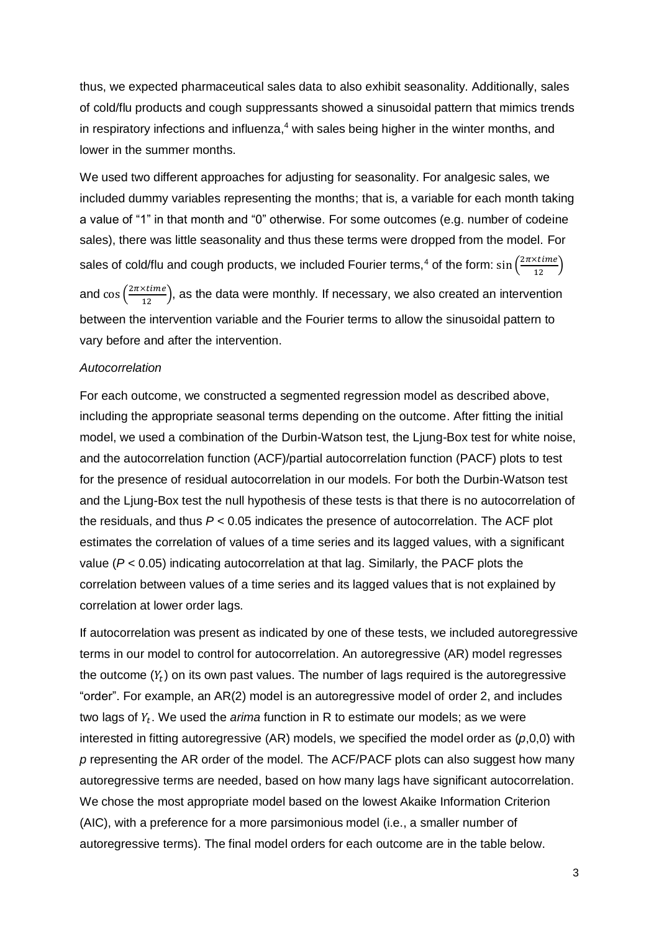thus, we expected pharmaceutical sales data to also exhibit seasonality. Additionally, sales of cold/flu products and cough suppressants showed a sinusoidal pattern that mimics trends in respiratory infections and influenza,<sup>4</sup> with sales being higher in the winter months, and lower in the summer months.

We used two different approaches for adjusting for seasonality. For analgesic sales, we included dummy variables representing the months; that is, a variable for each month taking a value of "1" in that month and "0" otherwise. For some outcomes (e.g. number of codeine sales), there was little seasonality and thus these terms were dropped from the model. For sales of cold/flu and cough products, we included Fourier terms,<sup>4</sup> of the form:  $\sin\left(\frac{2\pi \times time}{12}\right)$ and  $\cos\left(\frac{2\pi \times time}{12}\right)$ , as the data were monthly. If necessary, we also created an intervention between the intervention variable and the Fourier terms to allow the sinusoidal pattern to vary before and after the intervention.

#### *Autocorrelation*

For each outcome, we constructed a segmented regression model as described above, including the appropriate seasonal terms depending on the outcome. After fitting the initial model, we used a combination of the Durbin-Watson test, the Ljung-Box test for white noise, and the autocorrelation function (ACF)/partial autocorrelation function (PACF) plots to test for the presence of residual autocorrelation in our models. For both the Durbin-Watson test and the Ljung-Box test the null hypothesis of these tests is that there is no autocorrelation of the residuals, and thus *P* < 0.05 indicates the presence of autocorrelation. The ACF plot estimates the correlation of values of a time series and its lagged values, with a significant value (*P* < 0.05) indicating autocorrelation at that lag. Similarly, the PACF plots the correlation between values of a time series and its lagged values that is not explained by correlation at lower order lags.

If autocorrelation was present as indicated by one of these tests, we included autoregressive terms in our model to control for autocorrelation. An autoregressive (AR) model regresses the outcome  $(Y_t)$  on its own past values. The number of lags required is the autoregressive "order". For example, an AR(2) model is an autoregressive model of order 2, and includes two lags of  $Y_t$ . We used the *arima* function in R to estimate our models; as we were interested in fitting autoregressive (AR) models, we specified the model order as (*p*,0,0) with *p* representing the AR order of the model. The ACF/PACF plots can also suggest how many autoregressive terms are needed, based on how many lags have significant autocorrelation. We chose the most appropriate model based on the lowest Akaike Information Criterion (AIC), with a preference for a more parsimonious model (i.e., a smaller number of autoregressive terms). The final model orders for each outcome are in the table below.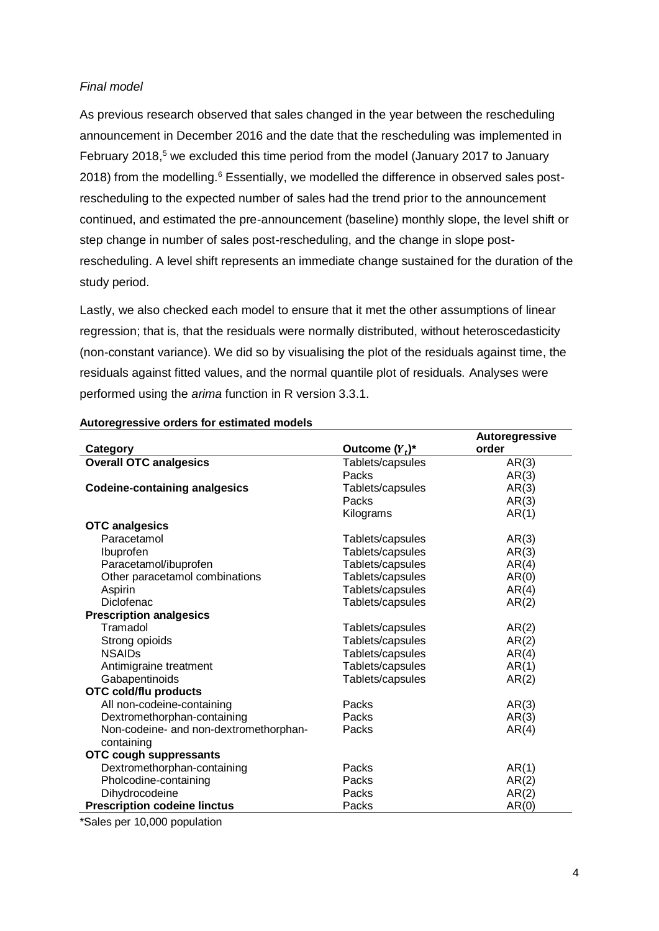### *Final model*

As previous research observed that sales changed in the year between the rescheduling announcement in December 2016 and the date that the rescheduling was implemented in February 2018,<sup>5</sup> we excluded this time period from the model (January 2017 to January 2018) from the modelling.<sup>6</sup> Essentially, we modelled the difference in observed sales postrescheduling to the expected number of sales had the trend prior to the announcement continued, and estimated the pre-announcement (baseline) monthly slope, the level shift or step change in number of sales post-rescheduling, and the change in slope postrescheduling. A level shift represents an immediate change sustained for the duration of the study period.

Lastly, we also checked each model to ensure that it met the other assumptions of linear regression; that is, that the residuals were normally distributed, without heteroscedasticity (non-constant variance). We did so by visualising the plot of the residuals against time, the residuals against fitted values, and the normal quantile plot of residuals. Analyses were performed using the *arima* function in R version 3.3.1.

|                                        |                   | Autoregressive |
|----------------------------------------|-------------------|----------------|
| Category                               | Outcome $(Y_t)^*$ | order          |
| <b>Overall OTC analgesics</b>          | Tablets/capsules  | AR(3)          |
|                                        | Packs             | AR(3)          |
| <b>Codeine-containing analgesics</b>   | Tablets/capsules  | AR(3)          |
|                                        | Packs             | AR(3)          |
|                                        | Kilograms         | AR(1)          |
| <b>OTC</b> analgesics                  |                   |                |
| Paracetamol                            | Tablets/capsules  | AR(3)          |
| Ibuprofen                              | Tablets/capsules  | AR(3)          |
| Paracetamol/ibuprofen                  | Tablets/capsules  | AR(4)          |
| Other paracetamol combinations         | Tablets/capsules  | AR(0)          |
| Aspirin                                | Tablets/capsules  | AR(4)          |
| Diclofenac                             | Tablets/capsules  | AR(2)          |
| <b>Prescription analgesics</b>         |                   |                |
| Tramadol                               | Tablets/capsules  | AR(2)          |
| Strong opioids                         | Tablets/capsules  | AR(2)          |
| <b>NSAIDs</b>                          | Tablets/capsules  | AR(4)          |
| Antimigraine treatment                 | Tablets/capsules  | AR(1)          |
| Gabapentinoids                         | Tablets/capsules  | AR(2)          |
| <b>OTC cold/flu products</b>           |                   |                |
| All non-codeine-containing             | Packs             | AR(3)          |
| Dextromethorphan-containing            | Packs             | AR(3)          |
| Non-codeine- and non-dextromethorphan- | Packs             | AR(4)          |
| containing                             |                   |                |
| <b>OTC cough suppressants</b>          |                   |                |
| Dextromethorphan-containing            | Packs             | AR(1)          |
| Pholcodine-containing                  | Packs             | AR(2)          |
| Dihydrocodeine                         | Packs             | AR(2)          |
| <b>Prescription codeine linctus</b>    | Packs             | AR(0)          |

#### **Autoregressive orders for estimated models**

\*Sales per 10,000 population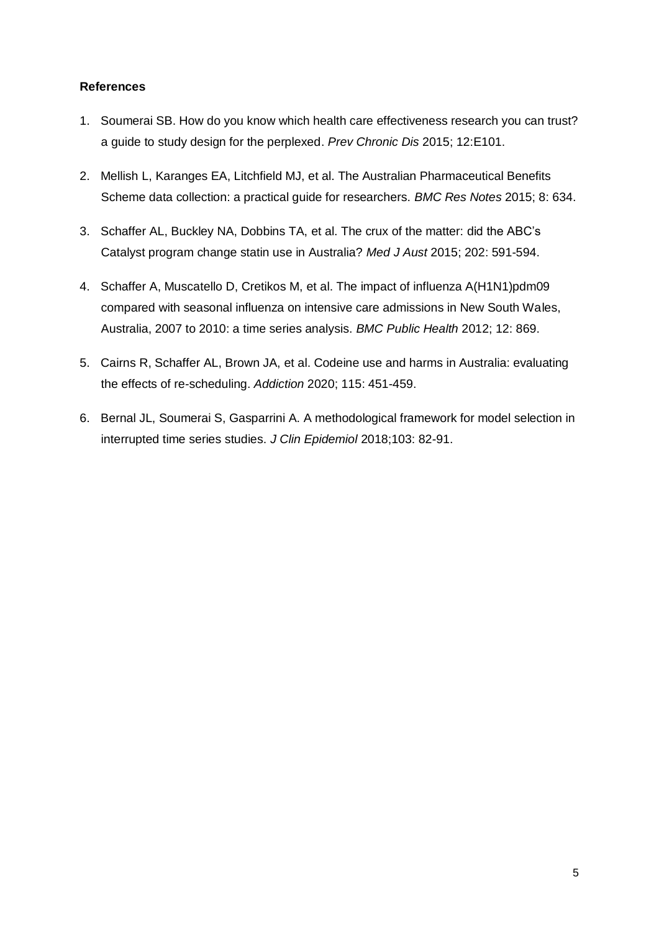### **References**

- 1. Soumerai SB. How do you know which health care effectiveness research you can trust? a guide to study design for the perplexed. *Prev Chronic Dis* 2015; 12:E101.
- 2. Mellish L, Karanges EA, Litchfield MJ, et al. The Australian Pharmaceutical Benefits Scheme data collection: a practical guide for researchers. *BMC Res Notes* 2015; 8: 634.
- 3. Schaffer AL, Buckley NA, Dobbins TA, et al. The crux of the matter: did the ABC's Catalyst program change statin use in Australia? *Med J Aust* 2015; 202: 591-594.
- 4. Schaffer A, Muscatello D, Cretikos M, et al. The impact of influenza A(H1N1)pdm09 compared with seasonal influenza on intensive care admissions in New South Wales, Australia, 2007 to 2010: a time series analysis. *BMC Public Health* 2012; 12: 869.
- 5. Cairns R, Schaffer AL, Brown JA, et al. Codeine use and harms in Australia: evaluating the effects of re-scheduling. *Addiction* 2020; 115: 451-459.
- 6. Bernal JL, Soumerai S, Gasparrini A. A methodological framework for model selection in interrupted time series studies. *J Clin Epidemiol* 2018;103: 82-91.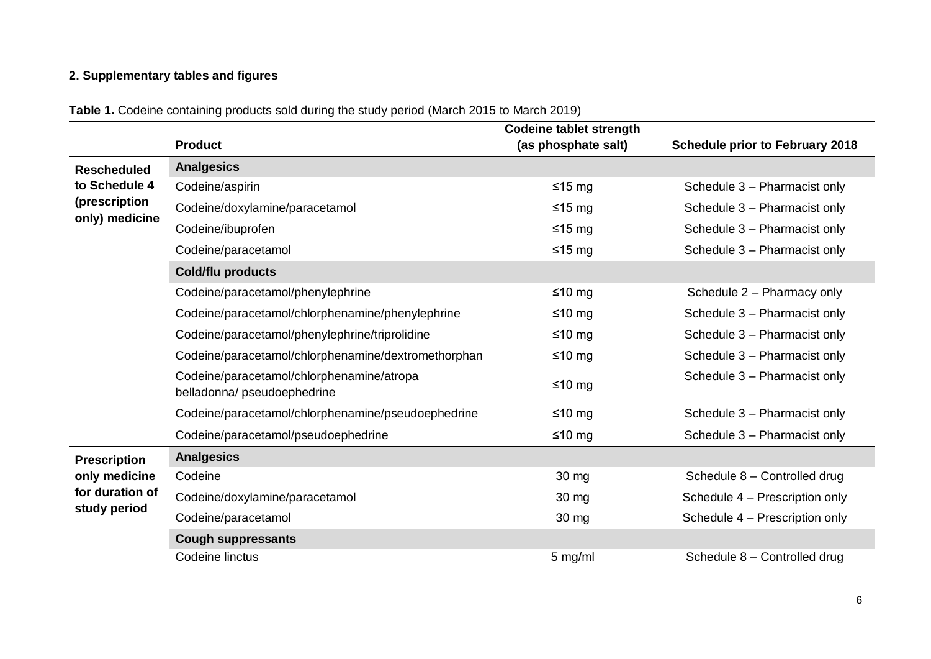# **2. Supplementary tables and figures**

|  |  | <b>Table 1.</b> Codeine containing products sold during the study period (March 2015 to March 2019) |
|--|--|-----------------------------------------------------------------------------------------------------|
|  |  |                                                                                                     |

|                                 |                                                                          | <b>Codeine tablet strength</b>          |                                        |  |
|---------------------------------|--------------------------------------------------------------------------|-----------------------------------------|----------------------------------------|--|
|                                 | <b>Product</b>                                                           | (as phosphate salt)                     | <b>Schedule prior to February 2018</b> |  |
| <b>Rescheduled</b>              | <b>Analgesics</b>                                                        |                                         |                                        |  |
| to Schedule 4                   | Codeine/aspirin                                                          | $≤15 mg$                                | Schedule 3 - Pharmacist only           |  |
| (prescription<br>only) medicine | Codeine/doxylamine/paracetamol                                           | ≤15 mg                                  | Schedule 3 - Pharmacist only           |  |
|                                 | Codeine/ibuprofen                                                        | ≤15 mg                                  | Schedule 3 - Pharmacist only           |  |
|                                 | Codeine/paracetamol                                                      | ≤15 mg                                  | Schedule 3 - Pharmacist only           |  |
|                                 | Cold/flu products                                                        |                                         |                                        |  |
|                                 | Codeine/paracetamol/phenylephrine                                        | ≤10 $mg$                                | Schedule 2 - Pharmacy only             |  |
|                                 | Codeine/paracetamol/chlorphenamine/phenylephrine                         | ≤10 mg                                  | Schedule 3 - Pharmacist only           |  |
|                                 | Codeine/paracetamol/phenylephrine/triprolidine                           | ≤10 $mg$                                | Schedule 3 - Pharmacist only           |  |
|                                 | Codeine/paracetamol/chlorphenamine/dextromethorphan                      | ≤10 mg                                  | Schedule 3 - Pharmacist only           |  |
|                                 | Codeine/paracetamol/chlorphenamine/atropa<br>belladonna/ pseudoephedrine | $≤10$ mg                                | Schedule 3 - Pharmacist only           |  |
|                                 | Codeine/paracetamol/chlorphenamine/pseudoephedrine                       | ≤10 mg                                  | Schedule 3 - Pharmacist only           |  |
|                                 | Codeine/paracetamol/pseudoephedrine                                      | ≤10 mg                                  | Schedule 3 - Pharmacist only           |  |
| <b>Prescription</b>             | <b>Analgesics</b>                                                        |                                         |                                        |  |
| only medicine                   | Codeine                                                                  | 30 mg                                   | Schedule 8 - Controlled drug           |  |
| for duration of                 | Codeine/doxylamine/paracetamol                                           | 30 mg                                   | Schedule 4 - Prescription only         |  |
| study period                    | Codeine/paracetamol                                                      | Schedule 4 - Prescription only<br>30 mg |                                        |  |
|                                 | <b>Cough suppressants</b>                                                |                                         |                                        |  |
|                                 | Codeine linctus                                                          | 5 mg/ml                                 | Schedule 8 - Controlled drug           |  |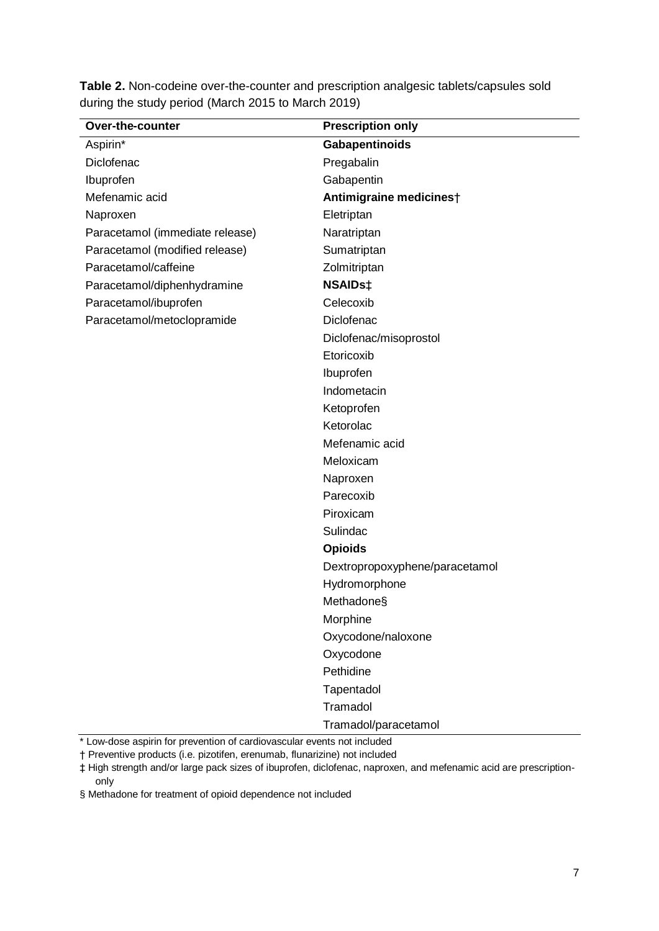| Table 2. Non-codeine over-the-counter and prescription analgesic tablets/capsules sold |  |
|----------------------------------------------------------------------------------------|--|
| during the study period (March 2015 to March 2019)                                     |  |

| <b>Over-the-counter</b>         | <b>Prescription only</b>       |
|---------------------------------|--------------------------------|
| Aspirin*                        | Gabapentinoids                 |
| Diclofenac                      | Pregabalin                     |
| Ibuprofen                       | Gabapentin                     |
| Mefenamic acid                  | Antimigraine medicinest        |
| Naproxen                        | Eletriptan                     |
| Paracetamol (immediate release) | Naratriptan                    |
| Paracetamol (modified release)  | Sumatriptan                    |
| Paracetamol/caffeine            | Zolmitriptan                   |
| Paracetamol/diphenhydramine     | <b>NSAIDs‡</b>                 |
| Paracetamol/ibuprofen           | Celecoxib                      |
| Paracetamol/metoclopramide      | Diclofenac                     |
|                                 | Diclofenac/misoprostol         |
|                                 | Etoricoxib                     |
|                                 | Ibuprofen                      |
|                                 | Indometacin                    |
|                                 | Ketoprofen                     |
|                                 | Ketorolac                      |
|                                 | Mefenamic acid                 |
|                                 | Meloxicam                      |
|                                 | Naproxen                       |
|                                 | Parecoxib                      |
|                                 | Piroxicam                      |
|                                 | Sulindac                       |
|                                 | <b>Opioids</b>                 |
|                                 | Dextropropoxyphene/paracetamol |
|                                 | Hydromorphone                  |
|                                 | Methadone§                     |
|                                 | Morphine                       |
|                                 | Oxycodone/naloxone             |
|                                 | Oxycodone                      |
|                                 | Pethidine                      |
|                                 | Tapentadol                     |
|                                 | Tramadol                       |
|                                 | Tramadol/paracetamol           |

\* Low-dose aspirin for prevention of cardiovascular events not included

† Preventive products (i.e. pizotifen, erenumab, flunarizine) not included

‡ High strength and/or large pack sizes of ibuprofen, diclofenac, naproxen, and mefenamic acid are prescriptiononly

§ Methadone for treatment of opioid dependence not included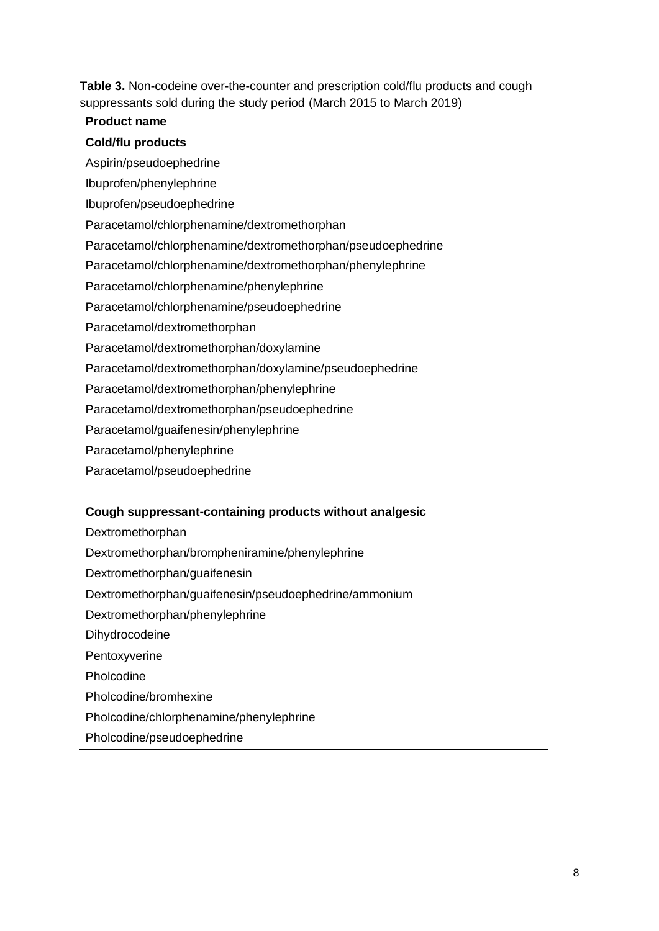**Table 3.** Non-codeine over-the-counter and prescription cold/flu products and cough suppressants sold during the study period (March 2015 to March 2019)

### **Product name**

### **Cold/flu products**

Aspirin/pseudoephedrine

Ibuprofen/phenylephrine

Ibuprofen/pseudoephedrine

Paracetamol/chlorphenamine/dextromethorphan

Paracetamol/chlorphenamine/dextromethorphan/pseudoephedrine

Paracetamol/chlorphenamine/dextromethorphan/phenylephrine

Paracetamol/chlorphenamine/phenylephrine

Paracetamol/chlorphenamine/pseudoephedrine

Paracetamol/dextromethorphan

Paracetamol/dextromethorphan/doxylamine

Paracetamol/dextromethorphan/doxylamine/pseudoephedrine

Paracetamol/dextromethorphan/phenylephrine

Paracetamol/dextromethorphan/pseudoephedrine

Paracetamol/guaifenesin/phenylephrine

Paracetamol/phenylephrine

Paracetamol/pseudoephedrine

#### **Cough suppressant-containing products without analgesic**

Dextromethorphan

Dextromethorphan/brompheniramine/phenylephrine

Dextromethorphan/guaifenesin

Dextromethorphan/guaifenesin/pseudoephedrine/ammonium

Dextromethorphan/phenylephrine

Dihydrocodeine

Pentoxyverine

Pholcodine

Pholcodine/bromhexine

Pholcodine/chlorphenamine/phenylephrine

Pholcodine/pseudoephedrine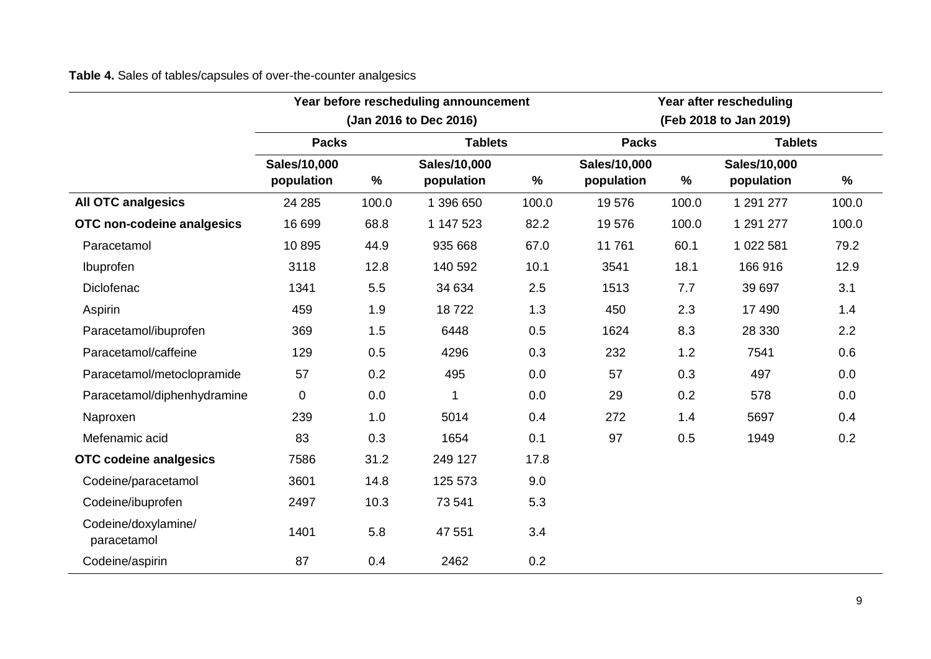**Table 4.** Sales of tables/capsules of over-the-counter analgesics

|                                    | Year before rescheduling announcement<br>(Jan 2016 to Dec 2016) |       |                |       | Year after rescheduling<br>(Feb 2018 to Jan 2019) |       |                |       |
|------------------------------------|-----------------------------------------------------------------|-------|----------------|-------|---------------------------------------------------|-------|----------------|-------|
|                                    |                                                                 |       |                |       |                                                   |       |                |       |
|                                    | <b>Packs</b>                                                    |       | <b>Tablets</b> |       | <b>Packs</b>                                      |       | <b>Tablets</b> |       |
|                                    | Sales/10,000                                                    |       | Sales/10,000   |       | Sales/10,000                                      |       | Sales/10,000   |       |
|                                    | population                                                      | $\%$  | population     | $\%$  | population                                        | $\%$  | population     | $\%$  |
| <b>All OTC analgesics</b>          | 24 285                                                          | 100.0 | 1 396 650      | 100.0 | 19576                                             | 100.0 | 1 291 277      | 100.0 |
| OTC non-codeine analgesics         | 16 699                                                          | 68.8  | 1 147 523      | 82.2  | 19576                                             | 100.0 | 1 291 277      | 100.0 |
| Paracetamol                        | 10895                                                           | 44.9  | 935 668        | 67.0  | 11761                                             | 60.1  | 1 022 581      | 79.2  |
| Ibuprofen                          | 3118                                                            | 12.8  | 140 592        | 10.1  | 3541                                              | 18.1  | 166 916        | 12.9  |
| Diclofenac                         | 1341                                                            | 5.5   | 34 634         | 2.5   | 1513                                              | 7.7   | 39 697         | 3.1   |
| Aspirin                            | 459                                                             | 1.9   | 18722          | 1.3   | 450                                               | 2.3   | 17 490         | 1.4   |
| Paracetamol/ibuprofen              | 369                                                             | 1.5   | 6448           | 0.5   | 1624                                              | 8.3   | 28 330         | 2.2   |
| Paracetamol/caffeine               | 129                                                             | 0.5   | 4296           | 0.3   | 232                                               | 1.2   | 7541           | 0.6   |
| Paracetamol/metoclopramide         | 57                                                              | 0.2   | 495            | 0.0   | 57                                                | 0.3   | 497            | 0.0   |
| Paracetamol/diphenhydramine        | $\mathbf 0$                                                     | 0.0   | 1              | 0.0   | 29                                                | 0.2   | 578            | 0.0   |
| Naproxen                           | 239                                                             | 1.0   | 5014           | 0.4   | 272                                               | 1.4   | 5697           | 0.4   |
| Mefenamic acid                     | 83                                                              | 0.3   | 1654           | 0.1   | 97                                                | 0.5   | 1949           | 0.2   |
| <b>OTC codeine analgesics</b>      | 7586                                                            | 31.2  | 249 127        | 17.8  |                                                   |       |                |       |
| Codeine/paracetamol                | 3601                                                            | 14.8  | 125 573        | 9.0   |                                                   |       |                |       |
| Codeine/ibuprofen                  | 2497                                                            | 10.3  | 73 541         | 5.3   |                                                   |       |                |       |
| Codeine/doxylamine/<br>paracetamol | 1401                                                            | 5.8   | 47 551         | 3.4   |                                                   |       |                |       |
| Codeine/aspirin                    | 87                                                              | 0.4   | 2462           | 0.2   |                                                   |       |                |       |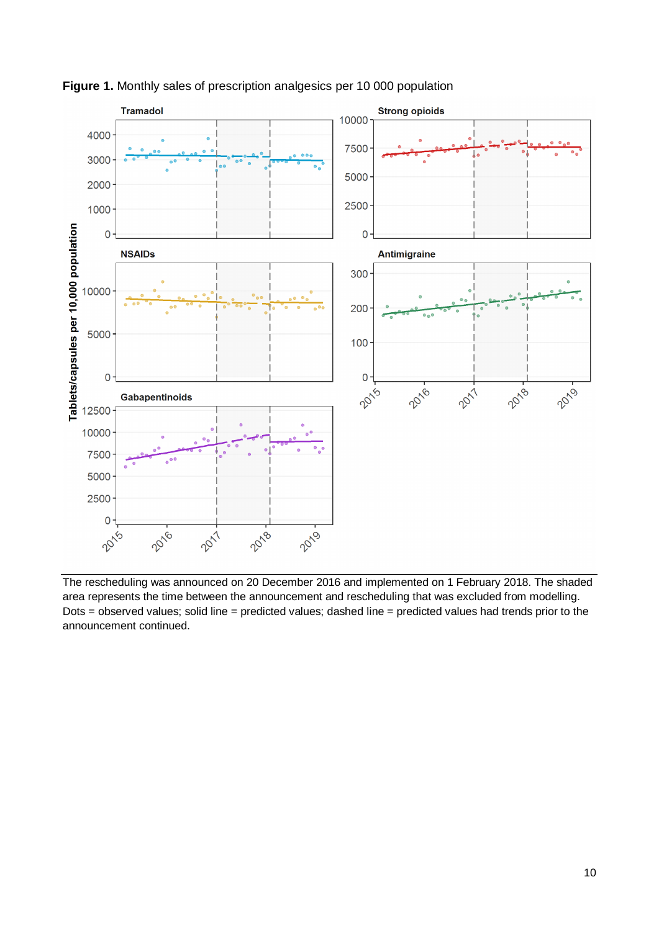

**Figure 1.** Monthly sales of prescription analgesics per 10 000 population

The rescheduling was announced on 20 December 2016 and implemented on 1 February 2018. The shaded area represents the time between the announcement and rescheduling that was excluded from modelling. Dots = observed values; solid line = predicted values; dashed line = predicted values had trends prior to the announcement continued.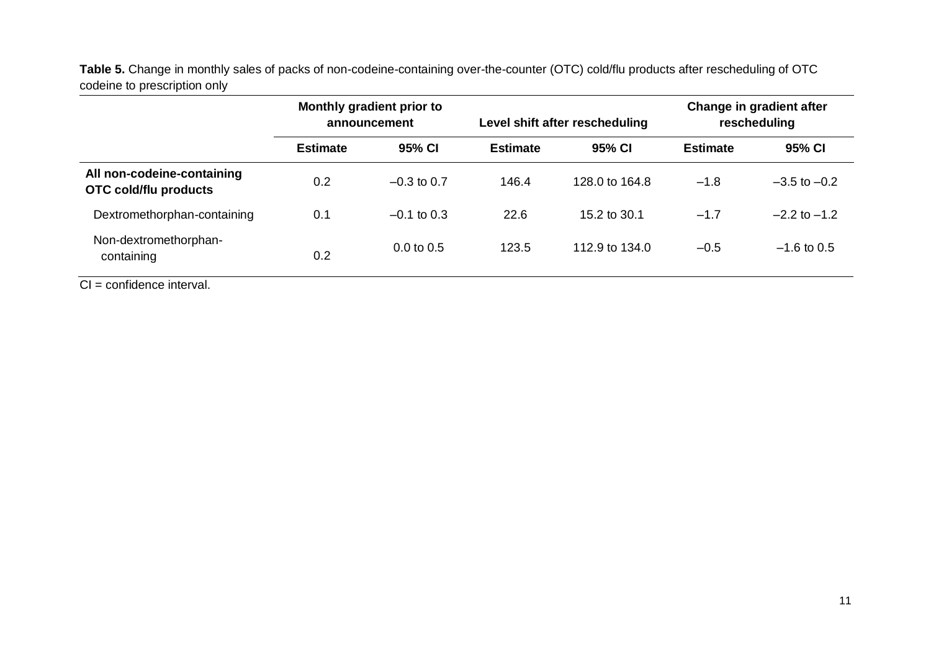**Table 5.** Change in monthly sales of packs of non-codeine-containing over-the-counter (OTC) cold/flu products after rescheduling of OTC codeine to prescription only

|                                                            | Monthly gradient prior to<br>announcement |                       |                 | Level shift after rescheduling | Change in gradient after<br>rescheduling |                  |
|------------------------------------------------------------|-------------------------------------------|-----------------------|-----------------|--------------------------------|------------------------------------------|------------------|
|                                                            | <b>Estimate</b>                           | 95% CI                | <b>Estimate</b> | 95% CI                         | <b>Estimate</b>                          | 95% CI           |
| All non-codeine-containing<br><b>OTC cold/flu products</b> | 0.2                                       | $-0.3$ to 0.7         | 146.4           | 128.0 to 164.8                 | $-1.8$                                   | $-3.5$ to $-0.2$ |
| Dextromethorphan-containing                                | 0.1                                       | $-0.1$ to 0.3         | 22.6            | 15.2 to 30.1                   | $-1.7$                                   | $-2.2$ to $-1.2$ |
| Non-dextromethorphan-<br>containing                        | 0.2                                       | $0.0 \text{ to } 0.5$ | 123.5           | 112.9 to 134.0                 | $-0.5$                                   | $-1.6$ to 0.5    |

CI = confidence interval.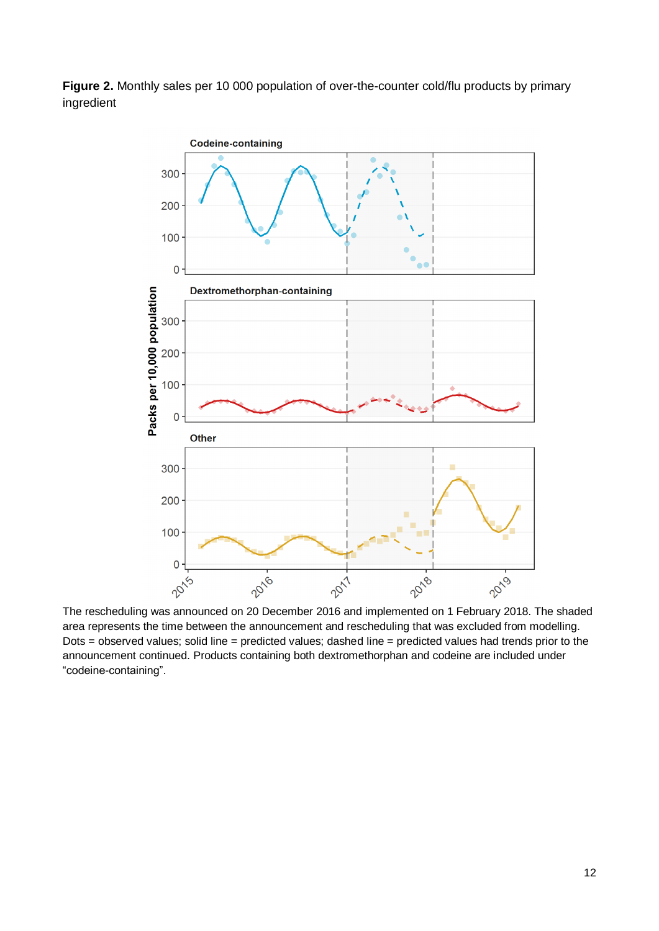**Figure 2.** Monthly sales per 10 000 population of over-the-counter cold/flu products by primary ingredient



The rescheduling was announced on 20 December 2016 and implemented on 1 February 2018. The shaded area represents the time between the announcement and rescheduling that was excluded from modelling. Dots = observed values; solid line = predicted values; dashed line = predicted values had trends prior to the announcement continued. Products containing both dextromethorphan and codeine are included under "codeine-containing".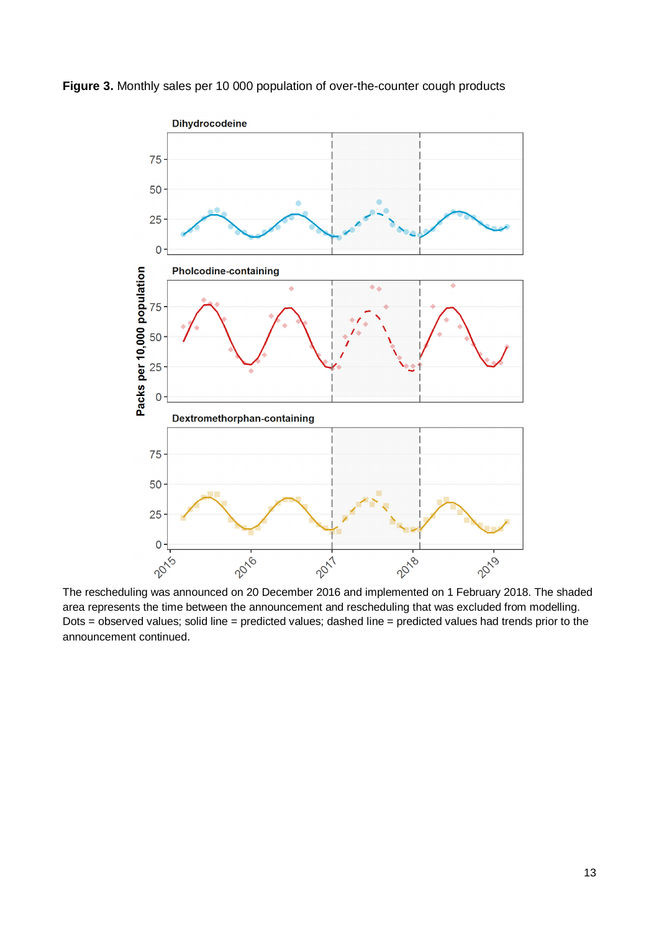

**Figure 3.** Monthly sales per 10 000 population of over-the-counter cough products

The rescheduling was announced on 20 December 2016 and implemented on 1 February 2018. The shaded area represents the time between the announcement and rescheduling that was excluded from modelling. Dots = observed values; solid line = predicted values; dashed line = predicted values had trends prior to the announcement continued.